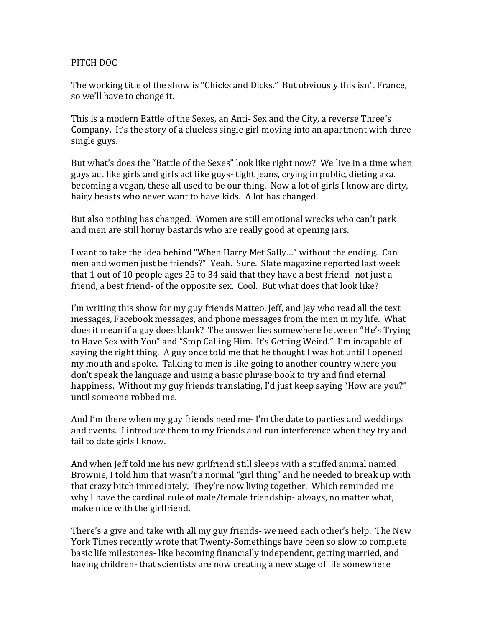### PITCH DOC

The working title of the show is "Chicks and Dicks." But obviously this isn't France, so we'll have to change it.

This is a modern Battle of the Sexes, an Anti- Sex and the City, a reverse Three's Company. It's the story of a clueless single girl moving into an apartment with three single guys.

But what's does the "Battle of the Sexes" look like right now? We live in a time when guys act like girls and girls act like guys- tight jeans, crying in public, dieting aka. becoming a vegan, these all used to be our thing. Now a lot of girls I know are dirty, hairy beasts who never want to have kids. A lot has changed.

But also nothing has changed. Women are still emotional wrecks who can't park and men are still horny bastards who are really good at opening jars.

I want to take the idea behind "When Harry Met Sally…" without the ending. Can men and women just be friends?" Yeah. Sure. Slate magazine reported last week that 1 out of 10 people ages 25 to 34 said that they have a best friend- not just a friend, a best friend- of the opposite sex. Cool. But what does that look like?

I'm writing this show for my guy friends Matteo, Jeff, and Jay who read all the text messages, Facebook messages, and phone messages from the men in my life. What does it mean if a guy does blank? The answer lies somewhere between "He's Trying to Have Sex with You" and "Stop Calling Him. It's Getting Weird." I'm incapable of saying the right thing. A guy once told me that he thought I was hot until I opened my mouth and spoke. Talking to men is like going to another country where you don't speak the language and using a basic phrase book to try and find eternal happiness. Without my guy friends translating, I'd just keep saying "How are you?" until someone robbed me.

And I'm there when my guy friends need me- I'm the date to parties and weddings and events. I introduce them to my friends and run interference when they try and fail to date girls I know.

And when Jeff told me his new girlfriend still sleeps with a stuffed animal named Brownie, I told him that wasn't a normal "girl thing" and he needed to break up with that crazy bitch immediately. They're now living together. Which reminded me why I have the cardinal rule of male/female friendship- always, no matter what, make nice with the girlfriend.

There's a give and take with all my guy friends- we need each other's help. The New York Times recently wrote that Twenty-Somethings have been so slow to complete basic life milestones- like becoming financially independent, getting married, and having children- that scientists are now creating a new stage of life somewhere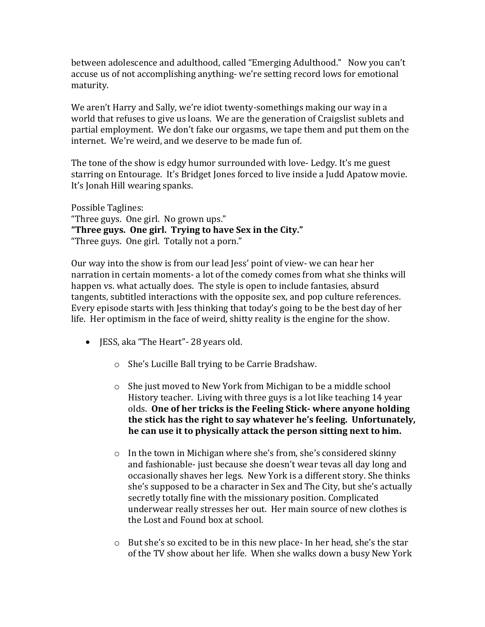between adolescence and adulthood, called "Emerging Adulthood." Now you can't accuse us of not accomplishing anything- we're setting record lows for emotional maturity.

We aren't Harry and Sally, we're idiot twenty-somethings making our way in a world that refuses to give us loans. We are the generation of Craigslist sublets and partial employment. We don't fake our orgasms, we tape them and put them on the internet. We're weird, and we deserve to be made fun of.

The tone of the show is edgy humor surrounded with love- Ledgy. It's me guest starring on Entourage. It's Bridget Jones forced to live inside a Judd Apatow movie. It's Jonah Hill wearing spanks.

Possible Taglines: "Three guys. One girl. No grown ups." **"Three guys. One girl. Trying to have Sex in the City."** "Three guys. One girl. Totally not a porn."

Our way into the show is from our lead Jess' point of view- we can hear her narration in certain moments- a lot of the comedy comes from what she thinks will happen vs. what actually does. The style is open to include fantasies, absurd tangents, subtitled interactions with the opposite sex, and pop culture references. Every episode starts with Jess thinking that today's going to be the best day of her life. Her optimism in the face of weird, shitty reality is the engine for the show.

- JESS, aka "The Heart" 28 years old.
	- o She's Lucille Ball trying to be Carrie Bradshaw.
	- o She just moved to New York from Michigan to be a middle school History teacher. Living with three guys is a lot like teaching 14 year olds. **One of her tricks is the Feeling Stick- where anyone holding the stick has the right to say whatever he's feeling. Unfortunately, he can use it to physically attack the person sitting next to him.**
	- o In the town in Michigan where she's from, she's considered skinny and fashionable- just because she doesn't wear tevas all day long and occasionally shaves her legs. New York is a different story. She thinks she's supposed to be a character in Sex and The City, but she's actually secretly totally fine with the missionary position. Complicated underwear really stresses her out. Her main source of new clothes is the Lost and Found box at school.
	- o But she's so excited to be in this new place- In her head, she's the star of the TV show about her life. When she walks down a busy New York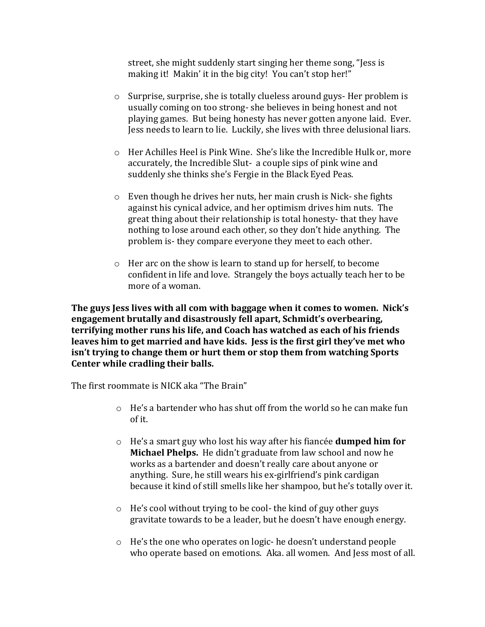street, she might suddenly start singing her theme song, "Jess is making it! Makin' it in the big city! You can't stop her!"

- o Surprise, surprise, she is totally clueless around guys- Her problem is usually coming on too strong- she believes in being honest and not playing games. But being honesty has never gotten anyone laid. Ever. Jess needs to learn to lie. Luckily, she lives with three delusional liars.
- o Her Achilles Heel is Pink Wine. She's like the Incredible Hulk or, more accurately, the Incredible Slut- a couple sips of pink wine and suddenly she thinks she's Fergie in the Black Eyed Peas.
- o Even though he drives her nuts, her main crush is Nick- she fights against his cynical advice, and her optimism drives him nuts. The great thing about their relationship is total honesty- that they have nothing to lose around each other, so they don't hide anything. The problem is- they compare everyone they meet to each other.
- o Her arc on the show is learn to stand up for herself, to become confident in life and love. Strangely the boys actually teach her to be more of a woman.

**The guys Jess lives with all com with baggage when it comes to women. Nick's engagement brutally and disastrously fell apart, Schmidt's overbearing, terrifying mother runs his life, and Coach has watched as each of his friends leaves him to get married and have kids. Jess is the first girl they've met who isn't trying to change them or hurt them or stop them from watching Sports Center while cradling their balls.** 

The first roommate is NICK aka "The Brain"

- $\circ$  He's a bartender who has shut off from the world so he can make fun of it.
- o He's a smart guy who lost his way after his fiancée **dumped him for Michael Phelps.** He didn't graduate from law school and now he works as a bartender and doesn't really care about anyone or anything. Sure, he still wears his ex-girlfriend's pink cardigan because it kind of still smells like her shampoo, but he's totally over it.
- o He's cool without trying to be cool- the kind of guy other guys gravitate towards to be a leader, but he doesn't have enough energy.
- o He's the one who operates on logic- he doesn't understand people who operate based on emotions. Aka. all women. And Jess most of all.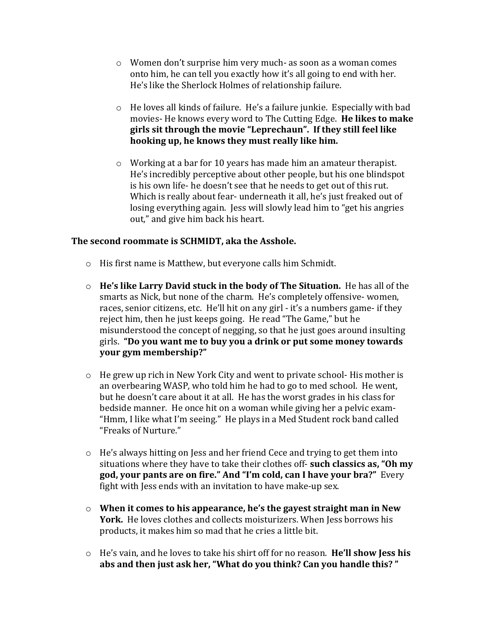- o Women don't surprise him very much- as soon as a woman comes onto him, he can tell you exactly how it's all going to end with her. He's like the Sherlock Holmes of relationship failure.
- o He loves all kinds of failure. He's a failure junkie. Especially with bad movies- He knows every word to The Cutting Edge. **He likes to make girls sit through the movie "Leprechaun". If they still feel like hooking up, he knows they must really like him.**
- o Working at a bar for 10 years has made him an amateur therapist. He's incredibly perceptive about other people, but his one blindspot is his own life- he doesn't see that he needs to get out of this rut. Which is really about fear- underneath it all, he's just freaked out of losing everything again. Jess will slowly lead him to "get his angries out," and give him back his heart.

# **The second roommate is SCHMIDT, aka the Asshole.**

- o His first name is Matthew, but everyone calls him Schmidt.
- o **He's like Larry David stuck in the body of The Situation.** He has all of the smarts as Nick, but none of the charm. He's completely offensive- women, races, senior citizens, etc. He'll hit on any girl - it's a numbers game- if they reject him, then he just keeps going. He read "The Game," but he misunderstood the concept of negging, so that he just goes around insulting girls. **"Do you want me to buy you a drink or put some money towards your gym membership?"**
- o He grew up rich in New York City and went to private school- His mother is an overbearing WASP, who told him he had to go to med school. He went, but he doesn't care about it at all. He has the worst grades in his class for bedside manner. He once hit on a woman while giving her a pelvic exam- "Hmm, I like what I'm seeing." He plays in a Med Student rock band called "Freaks of Nurture."
- o He's always hitting on Jess and her friend Cece and trying to get them into situations where they have to take their clothes off- **such classics as, "Oh my god, your pants are on fire." And "I'm cold, can I have your bra?"** Every fight with Jess ends with an invitation to have make-up sex.
- o **When it comes to his appearance, he's the gayest straight man in New**  York. He loves clothes and collects moisturizers. When Jess borrows his products, it makes him so mad that he cries a little bit.
- o He's vain, and he loves to take his shirt off for no reason. **He'll show Jess his abs and then just ask her, "What do you think? Can you handle this? "**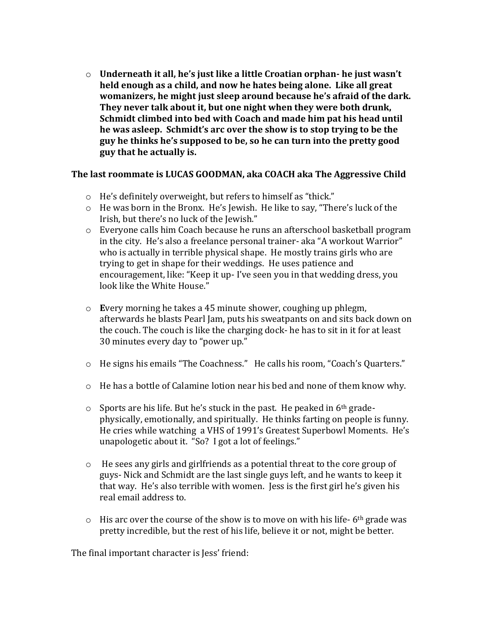o **Underneath it all, he's just like a little Croatian orphan- he just wasn't held enough as a child, and now he hates being alone. Like all great womanizers, he might just sleep around because he's afraid of the dark. They never talk about it, but one night when they were both drunk, Schmidt climbed into bed with Coach and made him pat his head until he was asleep. Schmidt's arc over the show is to stop trying to be the guy he thinks he's supposed to be, so he can turn into the pretty good guy that he actually is.**

# **The last roommate is LUCAS GOODMAN, aka COACH aka The Aggressive Child**

- o He's definitely overweight, but refers to himself as "thick."
- $\circ$  He was born in the Bronx. He's Jewish. He like to say, "There's luck of the Irish, but there's no luck of the Jewish."
- o Everyone calls him Coach because he runs an afterschool basketball program in the city. He's also a freelance personal trainer- aka "A workout Warrior" who is actually in terrible physical shape. He mostly trains girls who are trying to get in shape for their weddings. He uses patience and encouragement, like: "Keep it up- I've seen you in that wedding dress, you look like the White House."
- o **E**very morning he takes a 45 minute shower, coughing up phlegm, afterwards he blasts Pearl Jam, puts his sweatpants on and sits back down on the couch. The couch is like the charging dock- he has to sit in it for at least 30 minutes every day to "power up."
- o He signs his emails "The Coachness." He calls his room, "Coach's Quarters."
- $\circ$  He has a bottle of Calamine lotion near his bed and none of them know why.
- $\circ$  Sports are his life. But he's stuck in the past. He peaked in 6<sup>th</sup> gradephysically, emotionally, and spiritually. He thinks farting on people is funny. He cries while watching a VHS of 1991's Greatest Superbowl Moments. He's unapologetic about it. "So? I got a lot of feelings."
- $\circ$  He sees any girls and girlfriends as a potential threat to the core group of guys- Nick and Schmidt are the last single guys left, and he wants to keep it that way. He's also terrible with women. Jess is the first girl he's given his real email address to.
- $\circ$  His arc over the course of the show is to move on with his life-6<sup>th</sup> grade was pretty incredible, but the rest of his life, believe it or not, might be better.

The final important character is Jess' friend: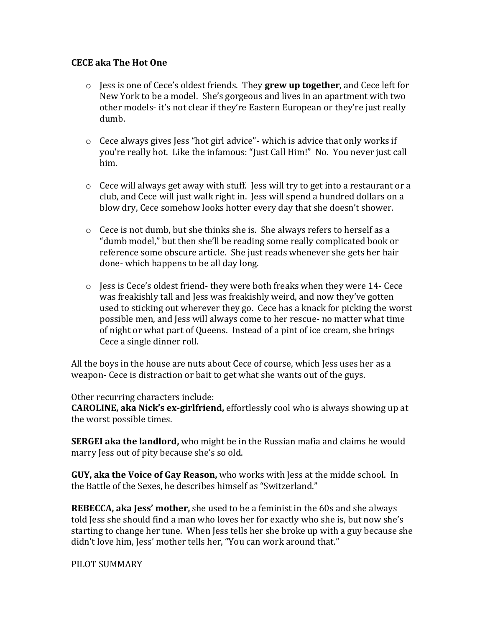### **CECE aka The Hot One**

- o Jess is one of Cece's oldest friends. They **grew up together**, and Cece left for New York to be a model. She's gorgeous and lives in an apartment with two other models- it's not clear if they're Eastern European or they're just really dumb.
- o Cece always gives Jess "hot girl advice"- which is advice that only works if you're really hot. Like the infamous: "Just Call Him!" No. You never just call him.
- o Cece will always get away with stuff. Jess will try to get into a restaurant or a club, and Cece will just walk right in. Jess will spend a hundred dollars on a blow dry, Cece somehow looks hotter every day that she doesn't shower.
- o Cece is not dumb, but she thinks she is. She always refers to herself as a "dumb model," but then she'll be reading some really complicated book or reference some obscure article. She just reads whenever she gets her hair done- which happens to be all day long.
- $\circ$  Jess is Cece's oldest friend- they were both freaks when they were 14- Cece was freakishly tall and Jess was freakishly weird, and now they've gotten used to sticking out wherever they go. Cece has a knack for picking the worst possible men, and Jess will always come to her rescue- no matter what time of night or what part of Queens. Instead of a pint of ice cream, she brings Cece a single dinner roll.

All the boys in the house are nuts about Cece of course, which Jess uses her as a weapon- Cece is distraction or bait to get what she wants out of the guys.

#### Other recurring characters include:

**CAROLINE, aka Nick's ex-girlfriend,** effortlessly cool who is always showing up at the worst possible times.

**SERGEI aka the landlord,** who might be in the Russian mafia and claims he would marry Jess out of pity because she's so old.

**GUY, aka the Voice of Gay Reason,** who works with Jess at the midde school. In the Battle of the Sexes, he describes himself as "Switzerland."

**REBECCA, aka Jess' mother,** she used to be a feminist in the 60s and she always told Jess she should find a man who loves her for exactly who she is, but now she's starting to change her tune. When Jess tells her she broke up with a guy because she didn't love him, Jess' mother tells her, "You can work around that."

# PILOT SUMMARY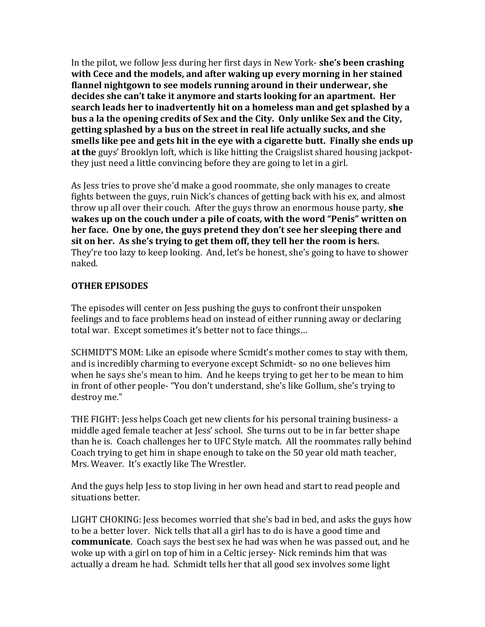In the pilot, we follow Jess during her first days in New York- **she's been crashing with Cece and the models, and after waking up every morning in her stained flannel nightgown to see models running around in their underwear, she decides she can't take it anymore and starts looking for an apartment. Her search leads her to inadvertently hit on a homeless man and get splashed by a bus a la the opening credits of Sex and the City. Only unlike Sex and the City, getting splashed by a bus on the street in real life actually sucks, and she smells like pee and gets hit in the eye with a cigarette butt. Finally she ends up at the** guys' Brooklyn loft, which is like hitting the Craigslist shared housing jackpotthey just need a little convincing before they are going to let in a girl.

As Jess tries to prove she'd make a good roommate, she only manages to create fights between the guys, ruin Nick's chances of getting back with his ex, and almost throw up all over their couch. After the guys throw an enormous house party, **she wakes up on the couch under a pile of coats, with the word "Penis" written on her face. One by one, the guys pretend they don't see her sleeping there and sit on her. As she's trying to get them off, they tell her the room is hers.**  They're too lazy to keep looking. And, let's be honest, she's going to have to shower naked.

# **OTHER EPISODES**

The episodes will center on Jess pushing the guys to confront their unspoken feelings and to face problems head on instead of either running away or declaring total war. Except sometimes it's better not to face things…

SCHMIDT'S MOM: Like an episode where Scmidt's mother comes to stay with them, and is incredibly charming to everyone except Schmidt- so no one believes him when he says she's mean to him. And he keeps trying to get her to be mean to him in front of other people- "You don't understand, she's like Gollum, she's trying to destroy me."

THE FIGHT: Jess helps Coach get new clients for his personal training business- a middle aged female teacher at Jess' school. She turns out to be in far better shape than he is. Coach challenges her to UFC Style match. All the roommates rally behind Coach trying to get him in shape enough to take on the 50 year old math teacher, Mrs. Weaver. It's exactly like The Wrestler.

And the guys help Jess to stop living in her own head and start to read people and situations better.

LIGHT CHOKING: Jess becomes worried that she's bad in bed, and asks the guys how to be a better lover. Nick tells that all a girl has to do is have a good time and **communicate**. Coach says the best sex he had was when he was passed out, and he woke up with a girl on top of him in a Celtic jersey- Nick reminds him that was actually a dream he had. Schmidt tells her that all good sex involves some light